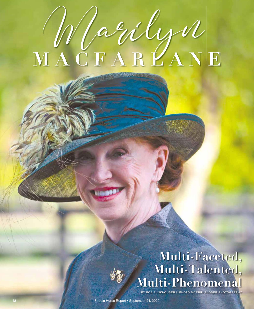## MAGILYN

## **Multi-Faceted, Multi-Talented, Multi-Phenomenal**

BY BOB FUNKHOUSER | PHOTO BY ERIN RUDDER PHOTOGRAPHY

48 Saddle Horse Report • September 21, 2020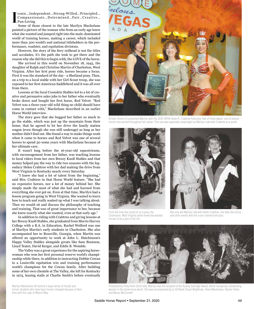conic…Independent…Strong-Willed…Principled… Compassionate…Determined…Fair…Creative… Fun-Loving

Marilyn Pain<br>
Pain<br>
What<br>
World<br>
Moria<br>
Terres<br>
dau<br>
Virg<br>
Firs<br>
on a Some of those closest to the late Marilyn Macfarlane painted a picture of the woman who from an early age knew what she wanted and jumped right into the male-dominated world of training horses, making a career, which included more than 300 world's and national titleholders in the performance, roadster, and equitation divisions.

However, the story of the fiery redhead is not the titles and accolades, it's the path she took to get there and the reason why she did this to begin with, the LOVE of the horse.

She arrived in this world on November 18, 1945, the daughter of Ralph and Christine Martin of Charleston, West Virginia. After her first pony ride, horses became a focus. First it was the standard of the day - a Shetland pony. Then, on a trip to a local stable with her Girl Scout troop, she was exposed to her first American Saddlebred and it was all over from there.

Lessons at the local Coonskin Stables led to a lot of creative and persuasive sales jobs to her father who eventually broke down and bought her first horse, Red Velvet. "Red Velvet was a three-year-old wild thing no child should have come in contact with," Macfarlane described in an earlier Horse World interview.

The story goes that she bugged her father so much to go the stable, which was just up the mountain from their home, that he agreed to let her drive the family station wagon (even though she was still underage) as long as her mother didn't find out. She found a way to make things work when it came to horses and Red Velvet was one of several horses to spend 30-some years with Macfarlane because of her ultimate care.

It wasn't long before the 16-year-old equestrienne, with encouragement from her father, was teaching lessons to local riders from her own Breezy Knoll Stables and that money helped pay the way to ride two seasons with the legendary Helen Crabtree with her dad making the drive from West Virginia to Kentucky nearly every Saturday.

"I knew she had a lot of talent from the beginning," said Mrs. Crabtree in that Horse World feature. "She had no expensive horses, nor a lot of money behind her. She simply made the most of what she had and learned from everything she ever got on. Even at that time, Marilyn had a lesson program going in West Virginia. She wanted to learn how to teach and really soaked up what I was talking about. Then we would sit and discuss the philosophy of teaching and training. That was of great importance to her, because she knew exactly what she wanted, even at that early age."

In addition to riding with Crabtree and giving lessons at her Breezy Knoll Stables, she graduated from Morris Harvey College with a B.A. in Education. Rachel Wolford was one of Marilyn Martin's early students in Charleston. She also accompanied her to Rossville, Georgia, when Martin was offered an opportunity to work at John L. Hutchinson's Happy Valley Stables alongside greats like Sam Brannon, Lloyd Teater, David Kerger, and Eddie B. Womble.

The Valley was a great experience for the aspiring horsewoman who won her first personal reserve world's championship while there, in addition to instructing Debbie Cowan to a Louisville equitation win and training performance world's champions for the Cowan family. After building some of her own clientele at The Valley, she left for Kentucky in 1974, leasing stalls at Charlie Smith's before eventually rulaus **EGAS** 

Kristen Stivers (l) presented Marilyn with the 2012 UPHA Helen K. Crabtree Instructor Hall of Fame award, one of several honors she earned throughout her career. This one was especially meaningful as Marilyn rode with Crabtree as a youth.



From the time she could sit on a pony, the Charleston, West Virginia native knew she wanted horses to be a part of her life.



Not only did Marilyn ride with Helen Crabtree, she later did clinics and other events with the iconic trainer/instructor.



Presented by Polly Holm (front left), Marilyn was the recipient of the Audrey Gutridge Award, which recognizes outstanding women in the show horse world. She was accompanied by (L-R) Randi Stuart Wightman, Steve Macfarlane, Rachel Vetter, and Nancy McConnell.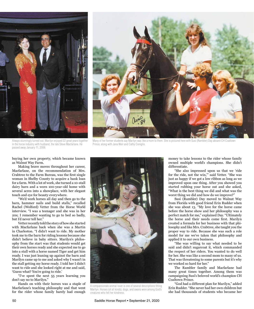



Always stunningly turned out, Marilyn enjoyed 22 great years together in the horse industry with husband, the late Steve Macfarlane. He passed away January 11, 2006.

Many of her former students say Marilyn was like a mom to them. She is pictured here with Susi (Rambler) Day aboard CH Coaltown Prince, along with Jana Weir and Cathy Coniglio.

buying her own property, which became known as Walnut Way Farm.

Making brave moves throughout her career, Macfarlane, on the recommendation of Mrs. Crabtree to the Farm Bureau, was the first single woman in Shelby County to acquire a bank loan for a farm. With a lot of work, she turned a 10-stall dairy barn and a worn 100-year-old home with several acres into a showplace, with her elegant touch and eye for beauty everywhere.

"We'd work horses all day and then go to the barn, hammer nails and build stalls," recalled Rachel (Wolford) Vetter from the Horse World interview. "I was a teenager and she was in her 20s; I remember wanting to go to bed so badly, but I'd never tell her."

Vetter recently told the story of how she started with Macfarlane back when she was a Martin in Charleston. "I didn't want to ride. My mother took me to the barn for riding lessons because she didn't believe in baby sitters. Marilyn's philosophy from the start was that students would get their own horses ready and she expected me to go into a stall with a horse named Tiger and get him ready. I was just leaning up against the barn and Marilyn came up to me and asked why I wasn't in the stall getting my horse ready. I told her I didn't want to ride and she looked right at me and said, 'Guess what? You're going to ride.'

"I've spent the next 55 years learning you don't say no to Marilyn."

Hands on with their horses was a staple of Macfarlane's teaching philosophy and that went for the rider whose family barely had enough



A compassionate animal lover is one of several descriptions fitting Marilyn. Horses (of all kinds), dogs, and swans were among God's creatures who felt her kindness.

money to take lessons to the rider whose family owned multiple world's champions. She didn't differentiate.

"She also impressed upon us that we 'ride for the ride, not the win,'" said Vetter. "She was just as happy if we got a low ribbon as long as we improved upon one thing. After you showed you started rubbing your horse out and she asked, "What is the best thing we did and what was the worst thing we did and how do we improve?"

Susi (Rambler) Day moved to Walnut Way from Florida with good friend Erin Rudder when she was about 13. "My love for the horse came before the horse show and her philosophy was a perfect match for me," explained Day. "Ultimately the horse and their needs come first. Marilyn created a formula for her business with that philosophy and like Mrs. Crabtree, she taught you the proper way to ride. Because she was such a role model for me we've taken that philosophy and applied it to our own business.

"She was willing to say what needed to be said and didn't sugarcoat it, which commanded the respect of her riders. You wanted to do well for her. She was like a second mom to many of us. That was threatening to some parents but it's why we worked so hard for her."

The Rambler family and Macfarlane had many great times together. Among them was campaigning Susi's beloved world's champion CH Coaltown Prince.

"God had a different plan for Marilyn," added Erin Rudder. "She never had her own children but she had thousands of students who became her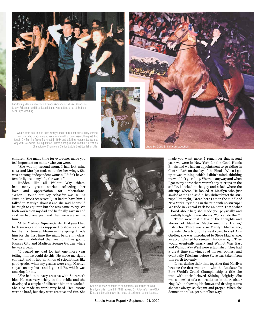

Fun-loving Marilyn never saw a dance foor she didn't like. Alongside Cheryl Friedman and Brad Seacrist, she was cutting a rug at Bret and Susi Day's wedding.

What a team determined team Marilyn and Erin Rudder made. They worked on Erin's dad to acquire and keep for more than one season, the great, but tough, CH Burning Tree's Starcrost. In 1984 and '85, they represented Walnut Way with 15 Saddle Seat Equitation Championships as well as the '84 World's Champion of Champions Senior Saddle Seat Equitation title.

children. She made time for everyone; made you feel important no matter who you were.

"She was my second mom. I had lost mine at 14 and Marilyn took me under her wings. She was a strong, independent woman. I didn't have a female figure in my life, she was it."

Rudder, like all Walnut Way riders, has many great stories reflecting her love and appreciation for Macfarlane. "When I found out Joy Schaefer was selling Burning Tree's Starcrost I just had to have him. I talked to Marilyn about it and she said he would be tough to equitate but she was game to try. We both worked on my dad and he finally gave in and said we had one year and then we were selling him.

"After Madison Square Garden that year I had back surgery and was supposed to show Starcrost for the first time at Miami in the spring. I rode him for the first time the night before my class. We went undefeated that year until we got to Kansas City and Madison Square Garden where he was a bear.

"I begged my dad for just one more year telling him we could do this. He made me sign a contract and it had all kinds of stipulations like good grades when my grades were crap. Marilyn stayed on my butt and I got all Bs, which was amazing for me.

"She had to be very creative with Starcrost's bits. He was very tricky in the bridle and she developed a couple of different bits that worked. She also made us work very hard. Her lessons were so hard, but they were creative and fun. She



She didn't show as much as some trainers but when she did, Marilyn made it count. In 1998, aboard CH Attache's Three Of A Kind, she brought down the house at Lexington Junior League.



These were just a few of the thoughts and stories of Marilyn Macfarlane, the trainer/ instructor. There was also Marilyn Macfarlane, the wife. On a trip to the west coast to visit Avis Girdler, she was introduced to Steve Macfarlane, an accomplished horseman in his own right. They would eventually marry and Walnut Way East and Walnut Way West were established. They had a great time showing road horses, ponies, and eventually Friesians before Steve was taken from this earth too early.

It was during their time together that Marilyn became the first woman to win the Roadster To Bike World's Grand Championship, a title she won with their beloved Shining Brightly. She was somewhat of a contradiction in the roadster ring. While showing Hackneys and driving teams she was always so elegant and proper. When she donned the silks, get out of her way!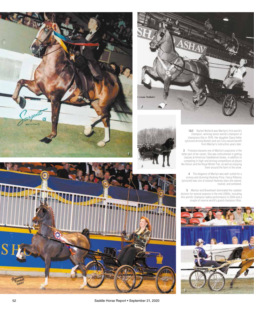

**1&2** Rachel Wolford was Marilyn's first world's champion, winning senior world's champion of champions title in 1976. Her daughter Dana Vetter (pictured driving Banter) and son Cory would benefit from Marilyn's instruction years later.

**3** Friesians became one of Marilyn's passions in the latter part of her career. She was instrumental in getting classes at American Saddlebred shows, in addition to competing in high-end driving competitions at places like Devon and the Royal Winter Fair, as well as enjoying them around the farm in the snow.

**4** The elegance of Marilyn was well-suited for a viceroy and stunning Hackney Pony. Fancy Ribbons (pictured) was one of several Hackney stars she owned, trained, and exhibited.

**5** Marilyn and Braveheart dominated the roadster division for several seasons in the mid-2000s, including this world's champion ladies performance in 2004 and a couple of reserve world's grand champion titles.





**1**





52 Saddle Horse Report • September 21, 2020